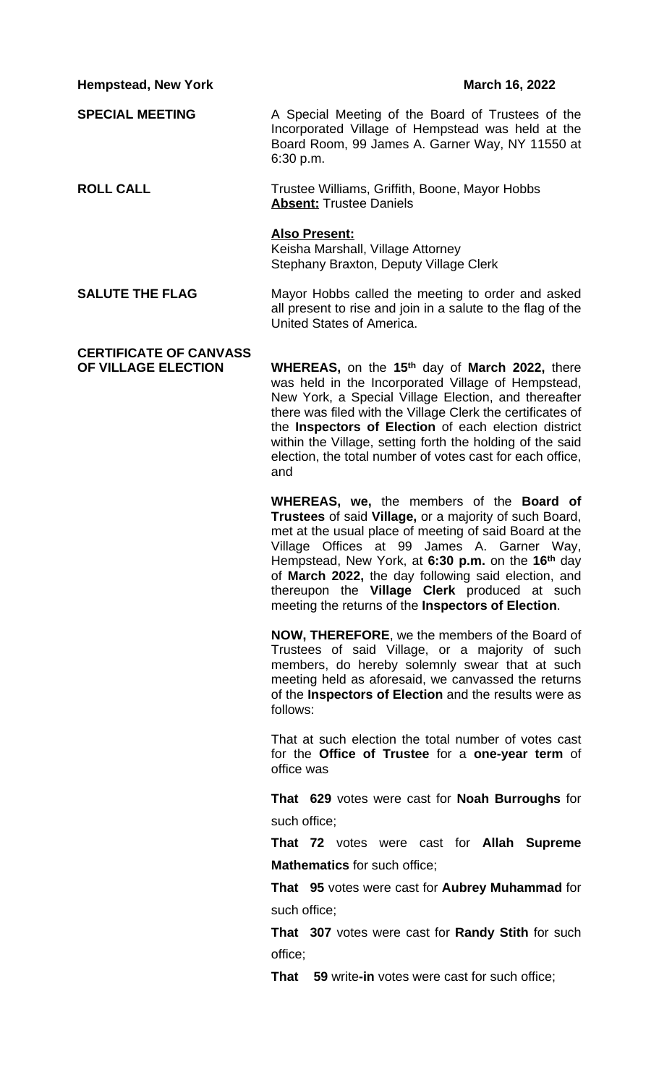**Hempstead, New York March 16, 2022** 

**SPECIAL MEETING** A Special Meeting of the Board of Trustees of the Incorporated Village of Hempstead was held at the Board Room, 99 James A. Garner Way, NY 11550 at 6:30 p.m.

**ROLL CALL** Trustee Williams, Griffith, Boone, Mayor Hobbs **Absent:** Trustee Daniels

## **Also Present:**

Keisha Marshall, Village Attorney Stephany Braxton, Deputy Village Clerk

**SALUTE THE FLAG** Mayor Hobbs called the meeting to order and asked all present to rise and join in a salute to the flag of the United States of America.

## **CERTIFICATE OF CANVASS**

**OF VILLAGE ELECTION WHEREAS,** on the **15th** day of **March 2022,** there was held in the Incorporated Village of Hempstead, New York, a Special Village Election, and thereafter there was filed with the Village Clerk the certificates of the **Inspectors of Election** of each election district within the Village, setting forth the holding of the said election, the total number of votes cast for each office, and

> **WHEREAS, we,** the members of the **Board of Trustees** of said **Village,** or a majority of such Board, met at the usual place of meeting of said Board at the Village Offices at 99 James A. Garner Way, Hempstead, New York, at **6:30 p.m.** on the **16th** day of **March 2022,** the day following said election, and thereupon the **Village Clerk** produced at such meeting the returns of the **Inspectors of Election**.

> **NOW, THEREFORE**, we the members of the Board of Trustees of said Village, or a majority of such members, do hereby solemnly swear that at such meeting held as aforesaid, we canvassed the returns of the **Inspectors of Election** and the results were as follows:

> That at such election the total number of votes cast for the **Office of Trustee** for a **one-year term** of office was

> **That 629** votes were cast for **Noah Burroughs** for such office;

> **That 72** votes were cast for **Allah Supreme Mathematics** for such office;

> **That 95** votes were cast for **Aubrey Muhammad** for such office;

> **That 307** votes were cast for **Randy Stith** for such office;

**That 59** write**-in** votes were cast for such office;